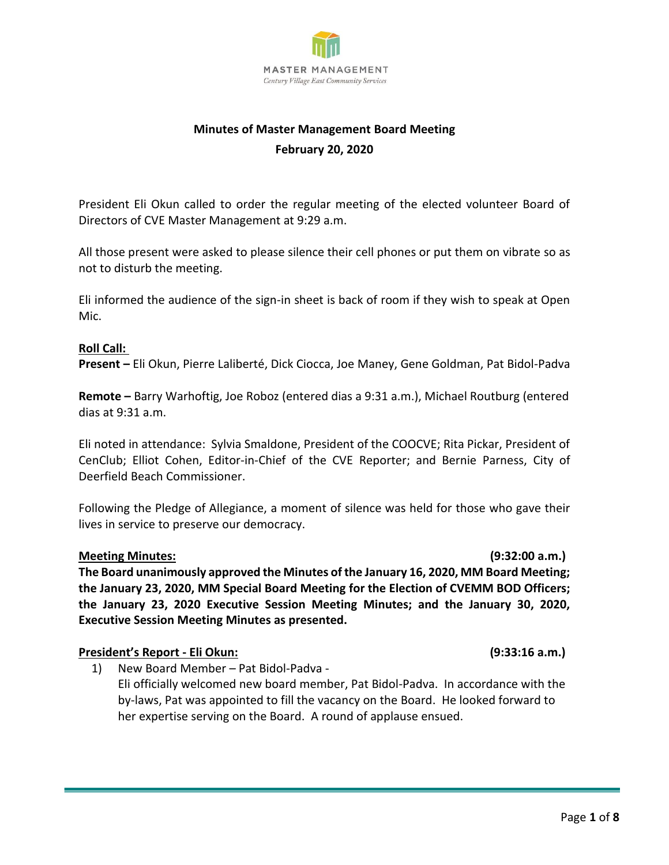

# **Minutes of Master Management Board Meeting February 20, 2020**

President Eli Okun called to order the regular meeting of the elected volunteer Board of Directors of CVE Master Management at 9:29 a.m.

All those present were asked to please silence their cell phones or put them on vibrate so as not to disturb the meeting.

Eli informed the audience of the sign-in sheet is back of room if they wish to speak at Open Mic.

### **Roll Call:**

**Present –** Eli Okun, Pierre Laliberté, Dick Ciocca, Joe Maney, Gene Goldman, Pat Bidol-Padva

**Remote –** Barry Warhoftig, Joe Roboz (entered dias a 9:31 a.m.), Michael Routburg (entered dias at 9:31 a.m.

Eli noted in attendance: Sylvia Smaldone, President of the COOCVE; Rita Pickar, President of CenClub; Elliot Cohen, Editor-in-Chief of the CVE Reporter; and Bernie Parness, City of Deerfield Beach Commissioner.

Following the Pledge of Allegiance, a moment of silence was held for those who gave their lives in service to preserve our democracy.

### **Meeting Minutes: (9:32:00 a.m.)**

**The Board unanimously approved the Minutes of the January 16, 2020, MM Board Meeting; the January 23, 2020, MM Special Board Meeting for the Election of CVEMM BOD Officers; the January 23, 2020 Executive Session Meeting Minutes; and the January 30, 2020, Executive Session Meeting Minutes as presented.**

# **President's Report - Eli Okun: (9:33:16 a.m.)**

1) New Board Member – Pat Bidol-Padva - Eli officially welcomed new board member, Pat Bidol-Padva. In accordance with the by-laws, Pat was appointed to fill the vacancy on the Board. He looked forward to her expertise serving on the Board. A round of applause ensued.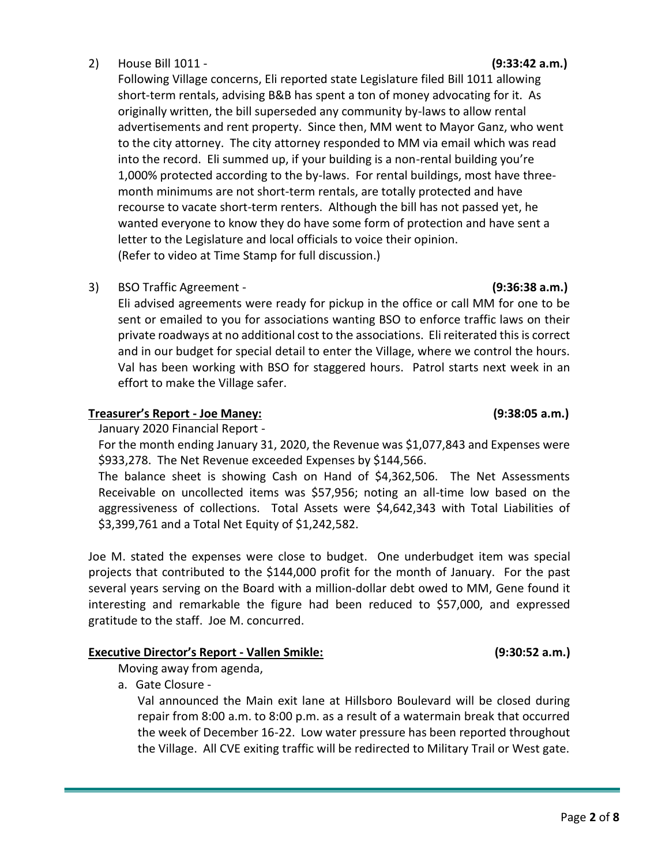# 2) House Bill 1011 - **(9:33:42 a.m.)**

Following Village concerns, Eli reported state Legislature filed Bill 1011 allowing short-term rentals, advising B&B has spent a ton of money advocating for it. As originally written, the bill superseded any community by-laws to allow rental advertisements and rent property. Since then, MM went to Mayor Ganz, who went to the city attorney. The city attorney responded to MM via email which was read into the record. Eli summed up, if your building is a non-rental building you're 1,000% protected according to the by-laws. For rental buildings, most have threemonth minimums are not short-term rentals, are totally protected and have recourse to vacate short-term renters. Although the bill has not passed yet, he wanted everyone to know they do have some form of protection and have sent a letter to the Legislature and local officials to voice their opinion. (Refer to video at Time Stamp for full discussion.)

3) BSO Traffic Agreement - **(9:36:38 a.m.)**

Eli advised agreements were ready for pickup in the office or call MM for one to be sent or emailed to you for associations wanting BSO to enforce traffic laws on their private roadways at no additional cost to the associations. Eli reiterated this is correct and in our budget for special detail to enter the Village, where we control the hours. Val has been working with BSO for staggered hours. Patrol starts next week in an effort to make the Village safer.

# **Treasurer's Report - Joe Maney: (9:38:05 a.m.)**

January 2020 Financial Report -

For the month ending January 31, 2020, the Revenue was \$1,077,843 and Expenses were \$933,278. The Net Revenue exceeded Expenses by \$144,566.

The balance sheet is showing Cash on Hand of \$4,362,506. The Net Assessments Receivable on uncollected items was \$57,956; noting an all-time low based on the aggressiveness of collections. Total Assets were \$4,642,343 with Total Liabilities of \$3,399,761 and a Total Net Equity of \$1,242,582.

Joe M. stated the expenses were close to budget. One underbudget item was special projects that contributed to the \$144,000 profit for the month of January. For the past several years serving on the Board with a million-dollar debt owed to MM, Gene found it interesting and remarkable the figure had been reduced to \$57,000, and expressed gratitude to the staff. Joe M. concurred.

# **Executive Director's Report - Vallen Smikle: (9:30:52 a.m.)**

Moving away from agenda,

a. Gate Closure -

Val announced the Main exit lane at Hillsboro Boulevard will be closed during repair from 8:00 a.m. to 8:00 p.m. as a result of a watermain break that occurred the week of December 16-22. Low water pressure has been reported throughout the Village. All CVE exiting traffic will be redirected to Military Trail or West gate.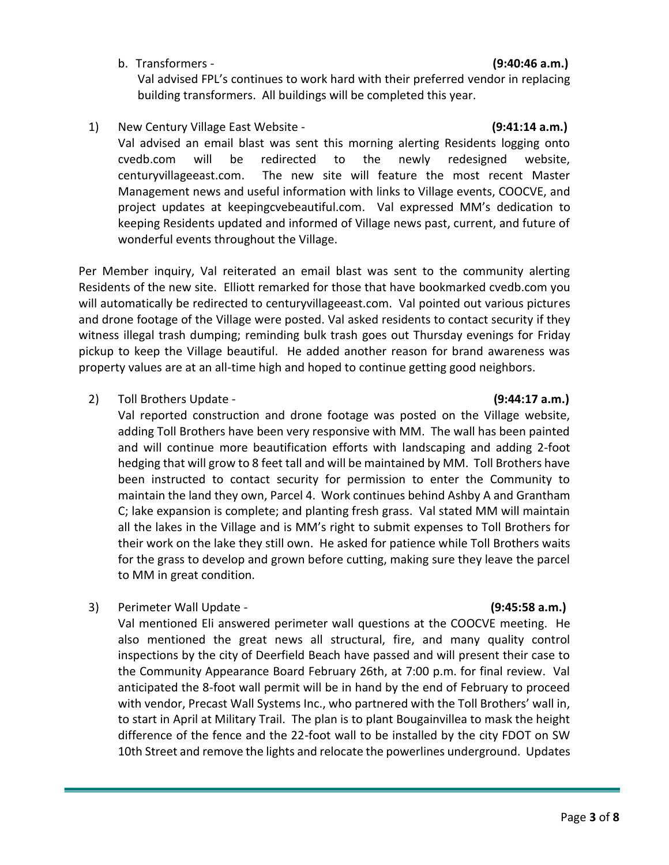b. Transformers - **(9:40:46 a.m.)**

# Val advised FPL's continues to work hard with their preferred vendor in replacing building transformers. All buildings will be completed this year.

1) New Century Village East Website - **(9:41:14 a.m.)**

Val advised an email blast was sent this morning alerting Residents logging onto cvedb.com will be redirected to the newly redesigned website, centuryvillageeast.com. The new site will feature the most recent Master Management news and useful information with links to Village events, COOCVE, and project updates at keepingcvebeautiful.com. Val expressed MM's dedication to keeping Residents updated and informed of Village news past, current, and future of wonderful events throughout the Village.

Per Member inquiry, Val reiterated an email blast was sent to the community alerting Residents of the new site. Elliott remarked for those that have bookmarked cvedb.com you will automatically be redirected to centuryvillageeast.com. Val pointed out various pictures and drone footage of the Village were posted. Val asked residents to contact security if they witness illegal trash dumping; reminding bulk trash goes out Thursday evenings for Friday pickup to keep the Village beautiful. He added another reason for brand awareness was property values are at an all-time high and hoped to continue getting good neighbors.

2) Toll Brothers Update - **(9:44:17 a.m.)**

Val reported construction and drone footage was posted on the Village website, adding Toll Brothers have been very responsive with MM. The wall has been painted and will continue more beautification efforts with landscaping and adding 2-foot hedging that will grow to 8 feet tall and will be maintained by MM. Toll Brothers have been instructed to contact security for permission to enter the Community to maintain the land they own, Parcel 4. Work continues behind Ashby A and Grantham C; lake expansion is complete; and planting fresh grass. Val stated MM will maintain all the lakes in the Village and is MM's right to submit expenses to Toll Brothers for their work on the lake they still own. He asked for patience while Toll Brothers waits for the grass to develop and grown before cutting, making sure they leave the parcel to MM in great condition.

3) Perimeter Wall Update - **(9:45:58 a.m.)**

Val mentioned Eli answered perimeter wall questions at the COOCVE meeting. He also mentioned the great news all structural, fire, and many quality control inspections by the city of Deerfield Beach have passed and will present their case to the Community Appearance Board February 26th, at 7:00 p.m. for final review. Val anticipated the 8-foot wall permit will be in hand by the end of February to proceed with vendor, Precast Wall Systems Inc., who partnered with the Toll Brothers' wall in, to start in April at Military Trail. The plan is to plant Bougainvillea to mask the height difference of the fence and the 22-foot wall to be installed by the city FDOT on SW 10th Street and remove the lights and relocate the powerlines underground. Updates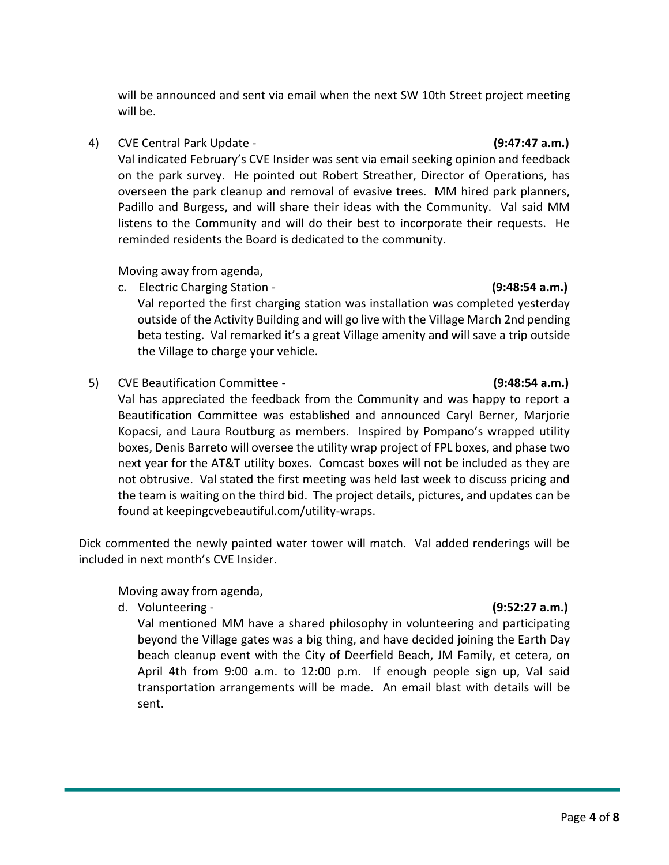will be announced and sent via email when the next SW 10th Street project meeting will be.

4) CVE Central Park Update - **(9:47:47 a.m.)**

Val indicated February's CVE Insider was sent via email seeking opinion and feedback on the park survey. He pointed out Robert Streather, Director of Operations, has overseen the park cleanup and removal of evasive trees. MM hired park planners, Padillo and Burgess, and will share their ideas with the Community. Val said MM listens to the Community and will do their best to incorporate their requests. He reminded residents the Board is dedicated to the community.

Moving away from agenda,

c. Electric Charging Station - **(9:48:54 a.m.)**

Val reported the first charging station was installation was completed yesterday outside of the Activity Building and will go live with the Village March 2nd pending beta testing. Val remarked it's a great Village amenity and will save a trip outside the Village to charge your vehicle.

5) CVE Beautification Committee - **(9:48:54 a.m.)**

Val has appreciated the feedback from the Community and was happy to report a Beautification Committee was established and announced Caryl Berner, Marjorie Kopacsi, and Laura Routburg as members. Inspired by Pompano's wrapped utility boxes, Denis Barreto will oversee the utility wrap project of FPL boxes, and phase two next year for the AT&T utility boxes. Comcast boxes will not be included as they are not obtrusive. Val stated the first meeting was held last week to discuss pricing and the team is waiting on the third bid. The project details, pictures, and updates can be found at keepingcvebeautiful.com/utility-wraps.

Dick commented the newly painted water tower will match. Val added renderings will be included in next month's CVE Insider.

Moving away from agenda,

d. Volunteering - **(9:52:27 a.m.)**

Val mentioned MM have a shared philosophy in volunteering and participating beyond the Village gates was a big thing, and have decided joining the Earth Day beach cleanup event with the City of Deerfield Beach, JM Family, et cetera, on April 4th from 9:00 a.m. to 12:00 p.m. If enough people sign up, Val said transportation arrangements will be made. An email blast with details will be sent.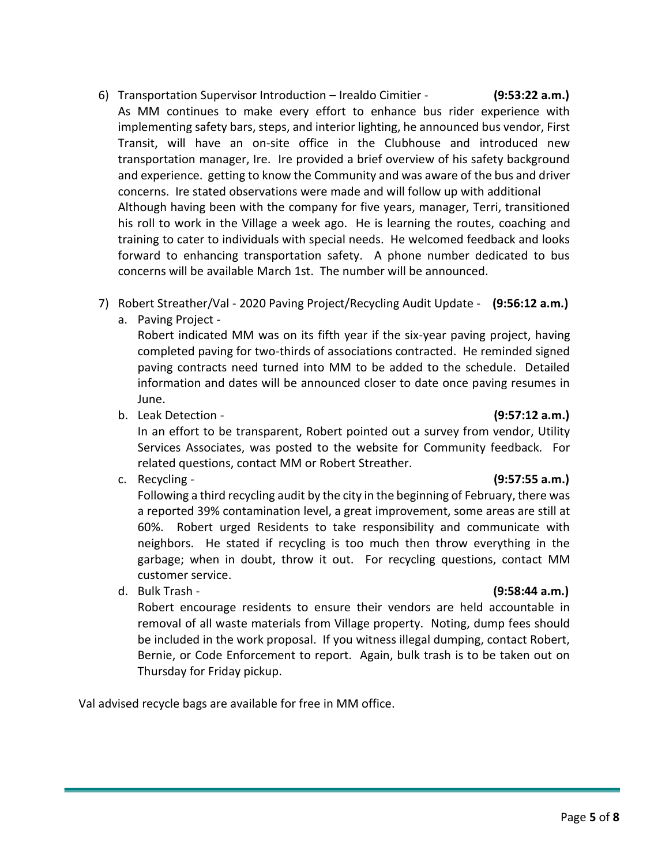- 6) Transportation Supervisor Introduction Irealdo Cimitier **(9:53:22 a.m.)** As MM continues to make every effort to enhance bus rider experience with implementing safety bars, steps, and interior lighting, he announced bus vendor, First Transit, will have an on-site office in the Clubhouse and introduced new transportation manager, Ire. Ire provided a brief overview of his safety background and experience. getting to know the Community and was aware of the bus and driver concerns. Ire stated observations were made and will follow up with additional Although having been with the company for five years, manager, Terri, transitioned his roll to work in the Village a week ago. He is learning the routes, coaching and training to cater to individuals with special needs. He welcomed feedback and looks forward to enhancing transportation safety. A phone number dedicated to bus concerns will be available March 1st. The number will be announced.
- 7) Robert Streather/Val 2020 Paving Project/Recycling Audit Update **(9:56:12 a.m.)**
	- a. Paving Project -

Robert indicated MM was on its fifth year if the six-year paving project, having completed paving for two-thirds of associations contracted. He reminded signed paving contracts need turned into MM to be added to the schedule. Detailed information and dates will be announced closer to date once paving resumes in June.

b. Leak Detection - **(9:57:12 a.m.)**

In an effort to be transparent, Robert pointed out a survey from vendor, Utility Services Associates, was posted to the website for Community feedback. For related questions, contact MM or Robert Streather.

c. Recycling - **(9:57:55 a.m.)**

Following a third recycling audit by the city in the beginning of February, there was a reported 39% contamination level, a great improvement, some areas are still at 60%. Robert urged Residents to take responsibility and communicate with neighbors. He stated if recycling is too much then throw everything in the garbage; when in doubt, throw it out. For recycling questions, contact MM customer service.

d. Bulk Trash - **(9:58:44 a.m.)**

Robert encourage residents to ensure their vendors are held accountable in removal of all waste materials from Village property. Noting, dump fees should be included in the work proposal. If you witness illegal dumping, contact Robert, Bernie, or Code Enforcement to report. Again, bulk trash is to be taken out on Thursday for Friday pickup.

Val advised recycle bags are available for free in MM office.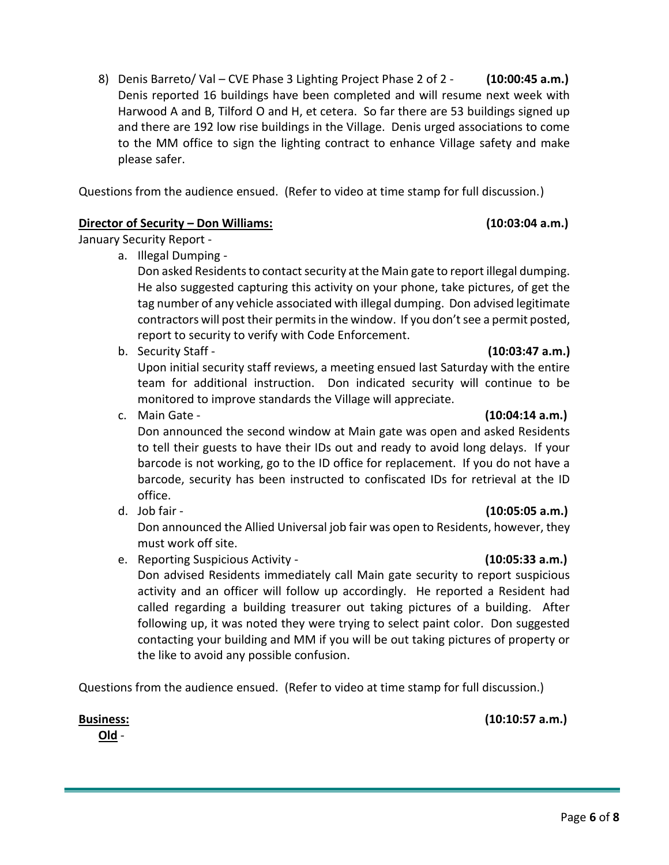Don announced the second window at Main gate was open and asked Residents to tell their guests to have their IDs out and ready to avoid long delays. If your barcode is not working, go to the ID office for replacement. If you do not have a barcode, security has been instructed to confiscated IDs for retrieval at the ID office.

d. Job fair - **(10:05:05 a.m.)**

Don announced the Allied Universal job fair was open to Residents, however, they must work off site.

e. Reporting Suspicious Activity - **(10:05:33 a.m.)**

Don advised Residents immediately call Main gate security to report suspicious activity and an officer will follow up accordingly. He reported a Resident had called regarding a building treasurer out taking pictures of a building. After following up, it was noted they were trying to select paint color. Don suggested contacting your building and MM if you will be out taking pictures of property or the like to avoid any possible confusion.

Questions from the audience ensued. (Refer to video at time stamp for full discussion.)

**Old** -

8) Denis Barreto/ Val – CVE Phase 3 Lighting Project Phase 2 of 2 - **(10:00:45 a.m.)** Denis reported 16 buildings have been completed and will resume next week with Harwood A and B, Tilford O and H, et cetera. So far there are 53 buildings signed up and there are 192 low rise buildings in the Village. Denis urged associations to come to the MM office to sign the lighting contract to enhance Village safety and make please safer.

Questions from the audience ensued. (Refer to video at time stamp for full discussion.)

# **Director of Security – Don Williams: (10:03:04 a.m.)**

January Security Report -

a. Illegal Dumping -

Don asked Residents to contact security at the Main gate to report illegal dumping. He also suggested capturing this activity on your phone, take pictures, of get the tag number of any vehicle associated with illegal dumping. Don advised legitimate contractors will post their permits in the window. If you don't see a permit posted, report to security to verify with Code Enforcement.

b. Security Staff - **(10:03:47 a.m.)** Upon initial security staff reviews, a meeting ensued last Saturday with the entire team for additional instruction. Don indicated security will continue to be monitored to improve standards the Village will appreciate. c. Main Gate - **(10:04:14 a.m.)**

# **Business: (10:10:57 a.m.)**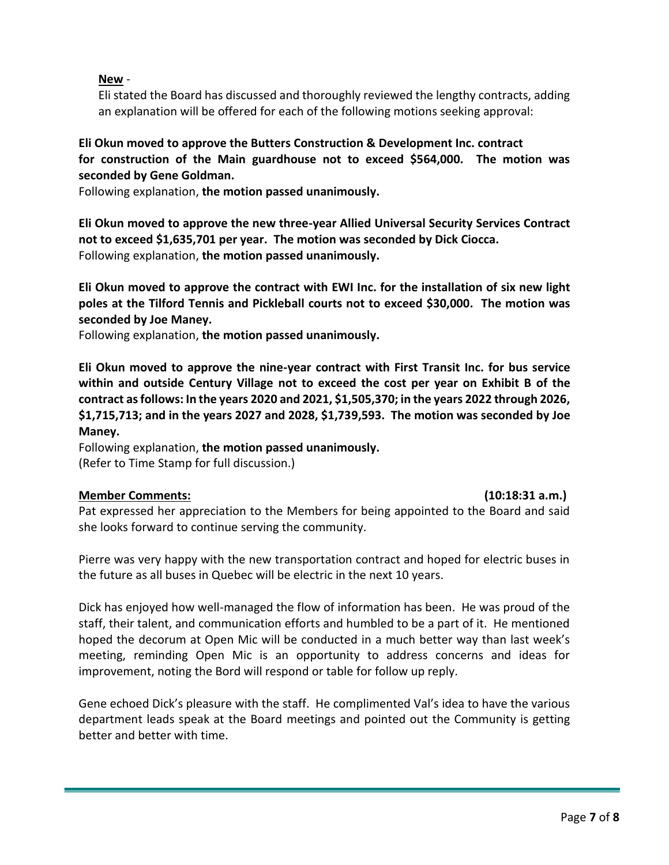# **New** -

Eli stated the Board has discussed and thoroughly reviewed the lengthy contracts, adding an explanation will be offered for each of the following motions seeking approval:

# **Eli Okun moved to approve the Butters Construction & Development Inc. contract for construction of the Main guardhouse not to exceed \$564,000. The motion was seconded by Gene Goldman.**

Following explanation, **the motion passed unanimously.** 

**Eli Okun moved to approve the new three-year Allied Universal Security Services Contract not to exceed \$1,635,701 per year. The motion was seconded by Dick Ciocca.** Following explanation, **the motion passed unanimously.** 

**Eli Okun moved to approve the contract with EWI Inc. for the installation of six new light poles at the Tilford Tennis and Pickleball courts not to exceed \$30,000. The motion was seconded by Joe Maney.** 

Following explanation, **the motion passed unanimously.** 

**Eli Okun moved to approve the nine-year contract with First Transit Inc. for bus service within and outside Century Village not to exceed the cost per year on Exhibit B of the contract as follows: In the years 2020 and 2021, \$1,505,370; in the years 2022 through 2026, \$1,715,713; and in the years 2027 and 2028, \$1,739,593. The motion was seconded by Joe Maney.** 

Following explanation, **the motion passed unanimously.**  (Refer to Time Stamp for full discussion.)

# **Member Comments: (10:18:31 a.m.)**

Pat expressed her appreciation to the Members for being appointed to the Board and said she looks forward to continue serving the community.

Pierre was very happy with the new transportation contract and hoped for electric buses in the future as all buses in Quebec will be electric in the next 10 years.

Dick has enjoyed how well-managed the flow of information has been. He was proud of the staff, their talent, and communication efforts and humbled to be a part of it. He mentioned hoped the decorum at Open Mic will be conducted in a much better way than last week's meeting, reminding Open Mic is an opportunity to address concerns and ideas for improvement, noting the Bord will respond or table for follow up reply.

Gene echoed Dick's pleasure with the staff. He complimented Val's idea to have the various department leads speak at the Board meetings and pointed out the Community is getting better and better with time.